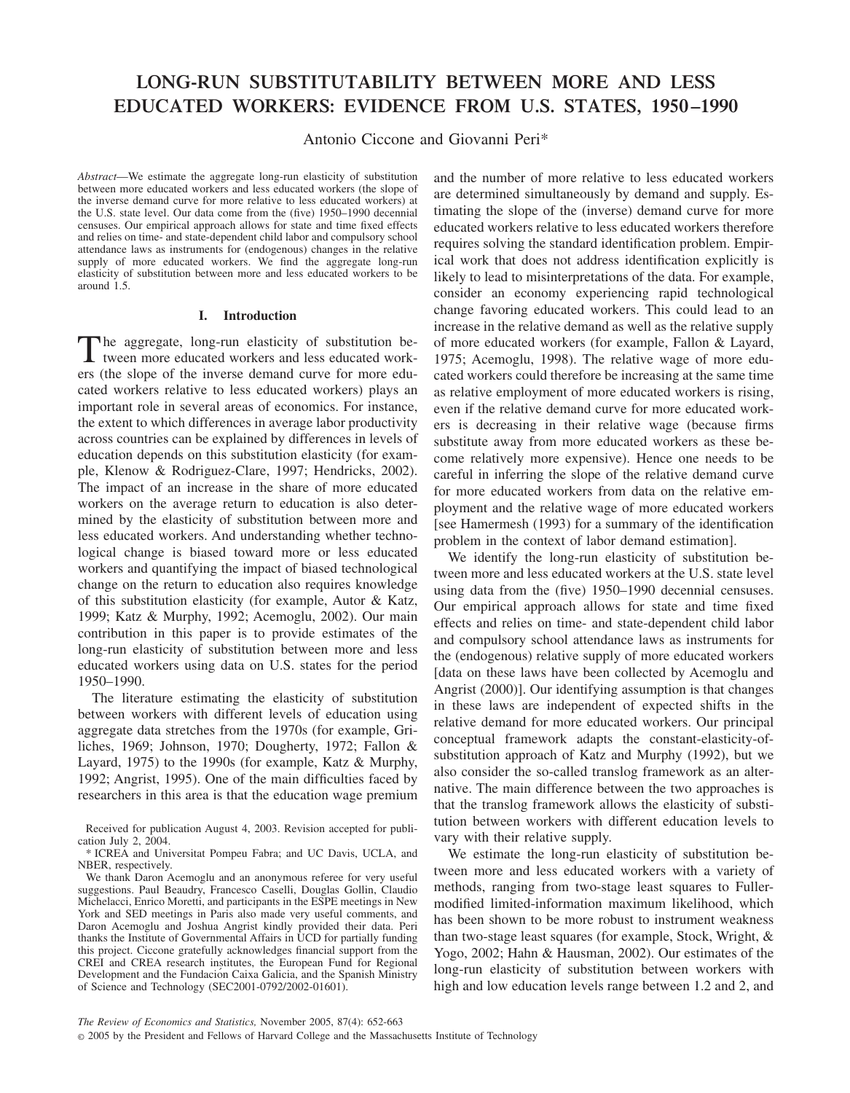# LONG-RUN SUBSTITUTABILITY BETWEEN MORE AND LESS EDUCATED WORKERS: EVIDENCE FROM U.S. STATES, 1950-1990

Antonio Ciccone and Giovanni Peri\*

Abstract-We estimate the aggregate long-run elasticity of substitution between more educated workers and less educated workers (the slope of the inverse demand curve for more relative to less educated workers) at the U.S. state level. Our data come from the (five) 1950–1990 decennial censuses. Our empirical approach allows for state and time fixed effects and relies on time- and state-dependent child labor and compulsory school attendance laws as instruments for (endogenous) changes in the relative supply of more educated workers. We find the aggregate long-run elasticity of substitution between more and less educated workers to be around  $1.5$ 

#### **Introduction** Ι.

The aggregate, long-run elasticity of substitution be-I tween more educated workers and less educated workers (the slope of the inverse demand curve for more educated workers relative to less educated workers) plays an important role in several areas of economics. For instance, the extent to which differences in average labor productivity across countries can be explained by differences in levels of education depends on this substitution elasticity (for example, Klenow & Rodriguez-Clare, 1997; Hendricks, 2002). The impact of an increase in the share of more educated workers on the average return to education is also determined by the elasticity of substitution between more and less educated workers. And understanding whether technological change is biased toward more or less educated workers and quantifying the impact of biased technological change on the return to education also requires knowledge of this substitution elasticity (for example, Autor & Katz, 1999; Katz & Murphy, 1992; Acemoglu, 2002). Our main contribution in this paper is to provide estimates of the long-run elasticity of substitution between more and less educated workers using data on U.S. states for the period 1950-1990.

The literature estimating the elasticity of substitution between workers with different levels of education using aggregate data stretches from the 1970s (for example, Griliches, 1969; Johnson, 1970; Dougherty, 1972; Fallon & Layard, 1975) to the 1990s (for example, Katz & Murphy, 1992; Angrist, 1995). One of the main difficulties faced by researchers in this area is that the education wage premium

We thank Daron Acemoglu and an anonymous referee for very useful suggestions. Paul Beaudry, Francesco Caselli, Douglas Gollin, Claudio Michelacci, Enrico Moretti, and participants in the ESPE meetings in New York and SED meetings in Paris also made very useful comments, and Daron Acemoglu and Joshua Angrist kindly provided their data. Peri thanks the Institute of Governmental Affairs in UCD for partially funding this project. Ciccone gratefully acknowledges financial support from the CREI and CREA research institutes, the European Fund for Regional Development and the Fundación Caixa Galicia, and the Spanish Ministry of Science and Technology (SEC2001-0792/2002-01601).

and the number of more relative to less educated workers are determined simultaneously by demand and supply. Estimating the slope of the (inverse) demand curve for more educated workers relative to less educated workers therefore requires solving the standard identification problem. Empirical work that does not address identification explicitly is likely to lead to misinterpretations of the data. For example, consider an economy experiencing rapid technological change favoring educated workers. This could lead to an increase in the relative demand as well as the relative supply of more educated workers (for example, Fallon & Layard, 1975; Acemoglu, 1998). The relative wage of more educated workers could therefore be increasing at the same time as relative employment of more educated workers is rising. even if the relative demand curve for more educated workers is decreasing in their relative wage (because firms substitute away from more educated workers as these become relatively more expensive). Hence one needs to be careful in inferring the slope of the relative demand curve for more educated workers from data on the relative employment and the relative wage of more educated workers [see Hamermesh (1993) for a summary of the identification problem in the context of labor demand estimation].

We identify the long-run elasticity of substitution between more and less educated workers at the U.S. state level using data from the (five) 1950–1990 decennial censuses. Our empirical approach allows for state and time fixed effects and relies on time- and state-dependent child labor and compulsory school attendance laws as instruments for the (endogenous) relative supply of more educated workers Idata on these laws have been collected by Acemoglu and Angrist (2000)]. Our identifying assumption is that changes in these laws are independent of expected shifts in the relative demand for more educated workers. Our principal conceptual framework adapts the constant-elasticity-ofsubstitution approach of Katz and Murphy (1992), but we also consider the so-called translog framework as an alternative. The main difference between the two approaches is that the translog framework allows the elasticity of substitution between workers with different education levels to vary with their relative supply.

We estimate the long-run elasticity of substitution between more and less educated workers with a variety of methods, ranging from two-stage least squares to Fullermodified limited-information maximum likelihood, which has been shown to be more robust to instrument weakness than two-stage least squares (for example, Stock, Wright, & Yogo, 2002; Hahn & Hausman, 2002). Our estimates of the long-run elasticity of substitution between workers with high and low education levels range between 1.2 and 2, and

Received for publication August 4, 2003. Revision accepted for publication July 2, 2004.

<sup>\*</sup> ICREA and Universitat Pompeu Fabra; and UC Davis, UCLA, and NBER, respectively.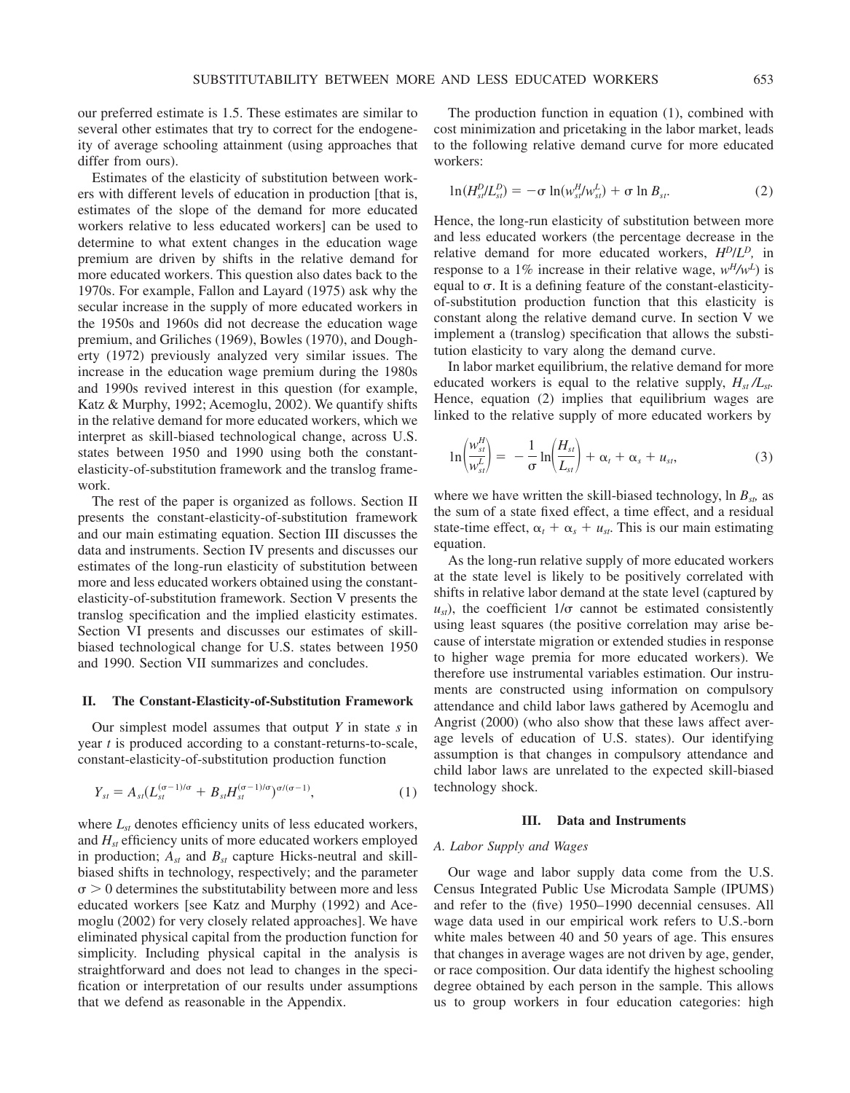our preferred estimate is 1.5. These estimates are similar to several other estimates that try to correct for the endogeneity of average schooling attainment (using approaches that differ from ours).

Estimates of the elasticity of substitution between workers with different levels of education in production [that is, estimates of the slope of the demand for more educated workers relative to less educated workers] can be used to determine to what extent changes in the education wage premium are driven by shifts in the relative demand for more educated workers. This question also dates back to the 1970s. For example, Fallon and Layard (1975) ask why the secular increase in the supply of more educated workers in the 1950s and 1960s did not decrease the education wage premium, and Griliches (1969), Bowles (1970), and Dougherty (1972) previously analyzed very similar issues. The increase in the education wage premium during the 1980s and 1990s revived interest in this question (for example, Katz & Murphy, 1992; Acemoglu, 2002). We quantify shifts in the relative demand for more educated workers, which we interpret as skill-biased technological change, across U.S. states between 1950 and 1990 using both the constantelasticity-of-substitution framework and the translog framework.

The rest of the paper is organized as follows. Section II presents the constant-elasticity-of-substitution framework and our main estimating equation. Section III discusses the data and instruments. Section IV presents and discusses our estimates of the long-run elasticity of substitution between more and less educated workers obtained using the constantelasticity-of-substitution framework. Section V presents the translog specification and the implied elasticity estimates. Section VI presents and discusses our estimates of skillbiased technological change for U.S. states between 1950 and 1990. Section VII summarizes and concludes.

#### II. The Constant-Elasticity-of-Substitution Framework

Our simplest model assumes that output  $Y$  in state  $s$  in year  $t$  is produced according to a constant-returns-to-scale, constant-elasticity-of-substitution production function

$$
Y_{st} = A_{st}(L_{st}^{(\sigma-1)/\sigma} + B_{st}H_{st}^{(\sigma-1)/\sigma})^{\sigma/(\sigma-1)},
$$
\n(1)

where  $L_{st}$  denotes efficiency units of less educated workers, and  $H_{st}$  efficiency units of more educated workers employed in production;  $A_{st}$  and  $B_{st}$  capture Hicks-neutral and skillbiased shifts in technology, respectively; and the parameter  $\sigma > 0$  determines the substitutability between more and less educated workers [see Katz and Murphy (1992) and Acemoglu (2002) for very closely related approaches]. We have eliminated physical capital from the production function for simplicity. Including physical capital in the analysis is straightforward and does not lead to changes in the specification or interpretation of our results under assumptions that we defend as reasonable in the Appendix.

The production function in equation  $(1)$ , combined with cost minimization and pricetaking in the labor market, leads to the following relative demand curve for more educated workers:

$$
\ln(H_{st}^D/L_{st}^D) = -\sigma \ln(w_{st}^H/w_{st}^L) + \sigma \ln B_{st}.
$$
 (2)

Hence, the long-run elasticity of substitution between more and less educated workers (the percentage decrease in the relative demand for more educated workers,  $H<sup>D</sup>/L<sup>D</sup>$ , in response to a 1% increase in their relative wage,  $w^H/w^L$  is equal to  $\sigma$ . It is a defining feature of the constant-elasticityof-substitution production function that this elasticity is constant along the relative demand curve. In section V we implement a (translog) specification that allows the substitution elasticity to vary along the demand curve.

In labor market equilibrium, the relative demand for more educated workers is equal to the relative supply,  $H_{st}/L_{st}$ Hence, equation (2) implies that equilibrium wages are linked to the relative supply of more educated workers by

$$
\ln\left(\frac{w_{st}^H}{w_{st}^L}\right) = -\frac{1}{\sigma}\ln\left(\frac{H_{st}}{L_{st}}\right) + \alpha_t + \alpha_s + u_{st},\tag{3}
$$

where we have written the skill-biased technology,  $\ln B_{sb}$  as the sum of a state fixed effect, a time effect, and a residual state-time effect,  $\alpha_t + \alpha_s + u_{st}$ . This is our main estimating equation.

As the long-run relative supply of more educated workers at the state level is likely to be positively correlated with shifts in relative labor demand at the state level (captured by  $u_{st}$ ), the coefficient  $1/\sigma$  cannot be estimated consistently using least squares (the positive correlation may arise because of interstate migration or extended studies in response to higher wage premia for more educated workers). We therefore use instrumental variables estimation. Our instruments are constructed using information on compulsory attendance and child labor laws gathered by Acemoglu and Angrist (2000) (who also show that these laws affect average levels of education of U.S. states). Our identifying assumption is that changes in compulsory attendance and child labor laws are unrelated to the expected skill-biased technology shock.

#### III. Data and Instruments

## A. Labor Supply and Wages

Our wage and labor supply data come from the U.S. Census Integrated Public Use Microdata Sample (IPUMS) and refer to the (five) 1950–1990 decennial censuses. All wage data used in our empirical work refers to U.S.-born white males between 40 and 50 years of age. This ensures that changes in average wages are not driven by age, gender, or race composition. Our data identify the highest schooling degree obtained by each person in the sample. This allows us to group workers in four education categories: high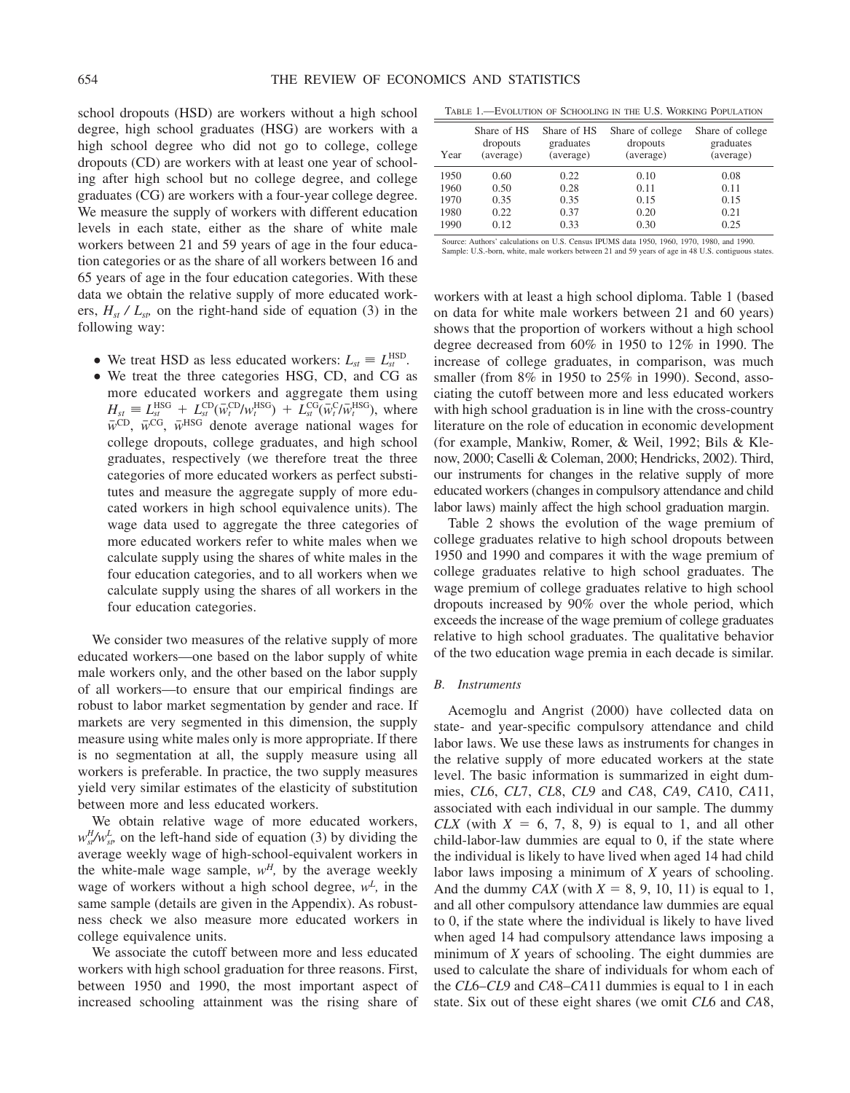school dropouts (HSD) are workers without a high school degree, high school graduates (HSG) are workers with a high school degree who did not go to college, college dropouts (CD) are workers with at least one year of schooling after high school but no college degree, and college graduates (CG) are workers with a four-year college degree. We measure the supply of workers with different education levels in each state, either as the share of white male workers between 21 and 59 years of age in the four education categories or as the share of all workers between 16 and 65 years of age in the four education categories. With these data we obtain the relative supply of more educated workers,  $H_{st}$  /  $L_{sb}$  on the right-hand side of equation (3) in the following way:

- We treat HSD as less educated workers:  $L_{st} \equiv L_{st}^{\text{HSD}}$ .
- We treat the three categories HSG, CD, and CG as more educated workers and aggregate them using  $H_{st} \equiv L_{st}^{\text{HSG}} + L_{st}^{\text{CD}}(\bar{w}_t^{\text{CD}}/w_t^{\text{HSG}}) + L_{st}^{\text{CG}}(\bar{w}_t^{\text{C}}/\bar{w}_t^{\text{HSG}})$ , where  $\bar{w}^{\text{CD}}$ ,  $\bar{w}^{\text{CG}}$ ,  $\bar{w}^{\text{HSG}}$  denote average national wages for college dropouts, college graduates, and high school graduates, respectively (we therefore treat the three categories of more educated workers as perfect substitutes and measure the aggregate supply of more educated workers in high school equivalence units). The wage data used to aggregate the three categories of more educated workers refer to white males when we calculate supply using the shares of white males in the four education categories, and to all workers when we calculate supply using the shares of all workers in the four education categories.

We consider two measures of the relative supply of more educated workers—one based on the labor supply of white male workers only, and the other based on the labor supply of all workers—to ensure that our empirical findings are robust to labor market segmentation by gender and race. If markets are very segmented in this dimension, the supply measure using white males only is more appropriate. If there is no segmentation at all, the supply measure using all workers is preferable. In practice, the two supply measures yield very similar estimates of the elasticity of substitution between more and less educated workers.

We obtain relative wage of more educated workers,  $w_{st}^H / w_{st}^L$ , on the left-hand side of equation (3) by dividing the average weekly wage of high-school-equivalent workers in the white-male wage sample,  $w<sup>H</sup>$ , by the average weekly wage of workers without a high school degree,  $w^L$ , in the same sample (details are given in the Appendix). As robustness check we also measure more educated workers in college equivalence units.

We associate the cutoff between more and less educated workers with high school graduation for three reasons. First, between 1950 and 1990, the most important aspect of increased schooling attainment was the rising share of

TABLE 1.- EVOLUTION OF SCHOOLING IN THE U.S. WORKING POPULATION

| Year | Share of HS<br>dropouts<br>(average) | Share of HS<br>graduates<br>(average) | Share of college<br>dropouts<br>(average) | Share of college<br>graduates<br>(average) |
|------|--------------------------------------|---------------------------------------|-------------------------------------------|--------------------------------------------|
| 1950 | 0.60                                 | 0.22                                  | 0.10                                      | 0.08                                       |
| 1960 | 0.50                                 | 0.28                                  | 0.11                                      | 0.11                                       |
| 1970 | 0.35                                 | 0.35                                  | 0.15                                      | 0.15                                       |
| 1980 | 0.22                                 | 0.37                                  | 0.20                                      | 0.21                                       |
| 1990 | 0.12                                 | 0.33                                  | 0.30                                      | 0.25                                       |

Source: Authors' calculations on U.S. Census IPUMS data 1950, 1960, 1970, 1980, and 1990. Sample: U.S.-born, white, male workers between 21 and 59 years of age in 48 U.S. contiguous states.

workers with at least a high school diploma. Table 1 (based on data for white male workers between 21 and 60 years) shows that the proportion of workers without a high school degree decreased from  $60\%$  in 1950 to 12% in 1990. The increase of college graduates, in comparison, was much smaller (from  $8\%$  in 1950 to  $25\%$  in 1990). Second, associating the cutoff between more and less educated workers with high school graduation is in line with the cross-country literature on the role of education in economic development (for example, Mankiw, Romer, & Weil, 1992; Bils & Klenow, 2000; Caselli & Coleman, 2000; Hendricks, 2002). Third, our instruments for changes in the relative supply of more educated workers (changes in compulsory attendance and child labor laws) mainly affect the high school graduation margin.

Table 2 shows the evolution of the wage premium of college graduates relative to high school dropouts between 1950 and 1990 and compares it with the wage premium of college graduates relative to high school graduates. The wage premium of college graduates relative to high school dropouts increased by 90% over the whole period, which exceeds the increase of the wage premium of college graduates relative to high school graduates. The qualitative behavior of the two education wage premia in each decade is similar.

### **B.** Instruments

Acemoglu and Angrist (2000) have collected data on state- and year-specific compulsory attendance and child labor laws. We use these laws as instruments for changes in the relative supply of more educated workers at the state level. The basic information is summarized in eight dummies, CL6, CL7, CL8, CL9 and CA8, CA9, CA10, CA11, associated with each individual in our sample. The dummy CLX (with  $X = 6, 7, 8, 9$ ) is equal to 1, and all other child-labor-law dummies are equal to 0, if the state where the individual is likely to have lived when aged 14 had child labor laws imposing a minimum of  $X$  years of schooling. And the dummy CAX (with  $X = 8, 9, 10, 11$ ) is equal to 1, and all other compulsory attendance law dummies are equal to 0, if the state where the individual is likely to have lived when aged 14 had compulsory attendance laws imposing a minimum of X years of schooling. The eight dummies are used to calculate the share of individuals for whom each of the CL6–CL9 and CA8–CA11 dummies is equal to 1 in each state. Six out of these eight shares (we omit CL6 and CA8,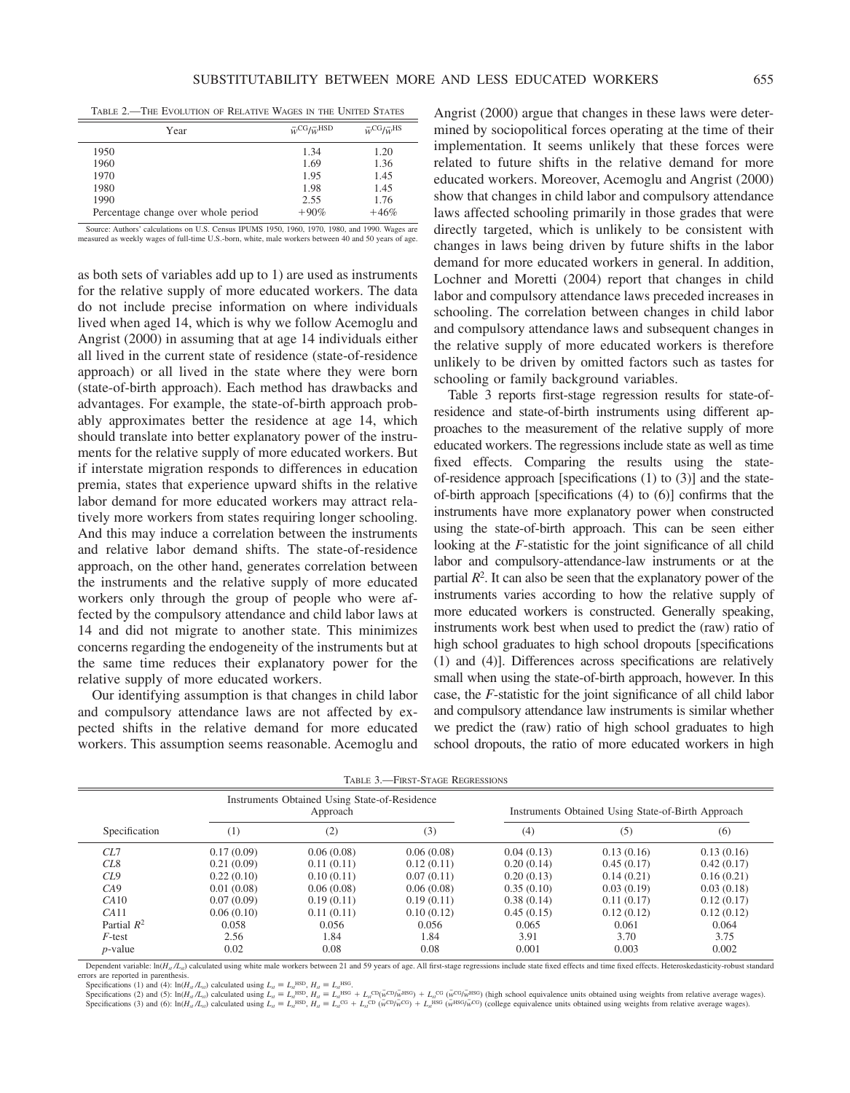TABLE 2.-THE EVOLUTION OF RELATIVE WAGES IN THE UNITED STATES

| Year                                | $\bar{w}^{CG}/\bar{w}^{HSD}$ | $\bar{w}^{CG}/\bar{w}^{HS}$ |
|-------------------------------------|------------------------------|-----------------------------|
| 1950                                | 1.34                         | 1.20                        |
| 1960                                | 1.69                         | 1.36                        |
| 1970                                | 1.95                         | 1.45                        |
| 1980                                | 1.98                         | 1.45                        |
| 1990                                | 2.55                         | 1.76                        |
| Percentage change over whole period | $+90%$                       | $+46%$                      |

Source: Authors' calculations on U.S. Census IPUMS 1950, 1960, 1970, 1980, and 1990. Wages are measured as weekly wages of full-time U.S.-born, white, male workers between 40 and 50 years of age.

as both sets of variables add up to 1) are used as instruments for the relative supply of more educated workers. The data do not include precise information on where individuals lived when aged 14, which is why we follow Acemoglu and Angrist (2000) in assuming that at age 14 individuals either all lived in the current state of residence (state-of-residence) approach) or all lived in the state where they were born (state-of-birth approach). Each method has drawbacks and advantages. For example, the state-of-birth approach probably approximates better the residence at age 14, which should translate into better explanatory power of the instruments for the relative supply of more educated workers. But if interstate migration responds to differences in education premia, states that experience upward shifts in the relative labor demand for more educated workers may attract relatively more workers from states requiring longer schooling. And this may induce a correlation between the instruments and relative labor demand shifts. The state-of-residence approach, on the other hand, generates correlation between the instruments and the relative supply of more educated workers only through the group of people who were affected by the compulsory attendance and child labor laws at 14 and did not migrate to another state. This minimizes concerns regarding the endogeneity of the instruments but at the same time reduces their explanatory power for the relative supply of more educated workers.

Our identifying assumption is that changes in child labor and compulsory attendance laws are not affected by expected shifts in the relative demand for more educated workers. This assumption seems reasonable. Acemoglu and Angrist (2000) argue that changes in these laws were determined by sociopolitical forces operating at the time of their implementation. It seems unlikely that these forces were related to future shifts in the relative demand for more educated workers. Moreover, Acemoglu and Angrist (2000) show that changes in child labor and compulsory attendance laws affected schooling primarily in those grades that were directly targeted, which is unlikely to be consistent with changes in laws being driven by future shifts in the labor demand for more educated workers in general. In addition, Lochner and Moretti (2004) report that changes in child labor and compulsory attendance laws preceded increases in schooling. The correlation between changes in child labor and compulsory attendance laws and subsequent changes in the relative supply of more educated workers is therefore unlikely to be driven by omitted factors such as tastes for schooling or family background variables.

Table 3 reports first-stage regression results for state-ofresidence and state-of-birth instruments using different approaches to the measurement of the relative supply of more educated workers. The regressions include state as well as time fixed effects. Comparing the results using the stateof-residence approach [specifications  $(1)$  to  $(3)$ ] and the stateof-birth approach [specifications (4) to (6)] confirms that the instruments have more explanatory power when constructed using the state-of-birth approach. This can be seen either looking at the  $F$ -statistic for the joint significance of all child labor and compulsory-attendance-law instruments or at the partial  $R^2$ . It can also be seen that the explanatory power of the instruments varies according to how the relative supply of more educated workers is constructed. Generally speaking, instruments work best when used to predict the (raw) ratio of high school graduates to high school dropouts [specifications (1) and (4)]. Differences across specifications are relatively small when using the state-of-birth approach, however. In this case, the F-statistic for the joint significance of all child labor and compulsory attendance law instruments is similar whether we predict the (raw) ratio of high school graduates to high school dropouts, the ratio of more educated workers in high

|                 |            |                                                           | TABLE 3.—FIRST-STAGE REGRESSIONS |            |                                                    |            |
|-----------------|------------|-----------------------------------------------------------|----------------------------------|------------|----------------------------------------------------|------------|
|                 |            | Instruments Obtained Using State-of-Residence<br>Approach |                                  |            | Instruments Obtained Using State-of-Birth Approach |            |
| Specification   | (1)        | (2)                                                       | (3)                              | (4)        | (5)                                                | (6)        |
| CL7             | 0.17(0.09) | 0.06(0.08)                                                | 0.06(0.08)                       | 0.04(0.13) | 0.13(0.16)                                         | 0.13(0.16) |
| CL <sub>8</sub> | 0.21(0.09) | 0.11(0.11)                                                | 0.12(0.11)                       | 0.20(0.14) | 0.45(0.17)                                         | 0.42(0.17) |
| CL <sub>9</sub> | 0.22(0.10) | 0.10(0.11)                                                | 0.07(0.11)                       | 0.20(0.13) | 0.14(0.21)                                         | 0.16(0.21) |
| CA9             | 0.01(0.08) | 0.06(0.08)                                                | 0.06(0.08)                       | 0.35(0.10) | 0.03(0.19)                                         | 0.03(0.18) |
| CA10            | 0.07(0.09) | 0.19(0.11)                                                | 0.19(0.11)                       | 0.38(0.14) | 0.11(0.17)                                         | 0.12(0.17) |
| CA11            | 0.06(0.10) | 0.11(0.11)                                                | 0.10(0.12)                       | 0.45(0.15) | 0.12(0.12)                                         | 0.12(0.12) |
| Partial $R^2$   | 0.058      | 0.056                                                     | 0.056                            | 0.065      | 0.061                                              | 0.064      |
| $F$ -test       | 2.56       | 1.84                                                      | 1.84                             | 3.91       | 3.70                                               | 3.75       |
| $p$ -value      | 0.02       | 0.08                                                      | 0.08                             | 0.001      | 0.003                                              | 0.002      |

Dependent variable:  $\ln(H_d/L_d)$  calculated using white male workers between 21 and 59 years of age. All first-stage regressions include state fixed effects and time fixed effects. Heteroskedasticity-robust standard errors are reported in parenthesis.

Specifications (1) and (4):  $\ln(H_{st}/L_{st})$  calculated using  $L_{st} \equiv L_{st}$ <sup>HSD</sup>,  $H_{st} \equiv L_{st}$ <sup>HSG</sup>.

Specifications (2) and (5):  $\ln(H_u/L_u)$  calculated using  $L_u = L_u^{180}$ ,  $H_u = L_u^{180}$ ,  $H_u = L_u^{180}$  ( $\bar{w}^{\text{CD}}/\bar{w}^{\text{HSG}}$ ) +  $L_u^{02}(\bar{w}^{\text{CD}}/\bar{w}^{\text{HSG}})$  (high school equivalence units obtained using weights from rel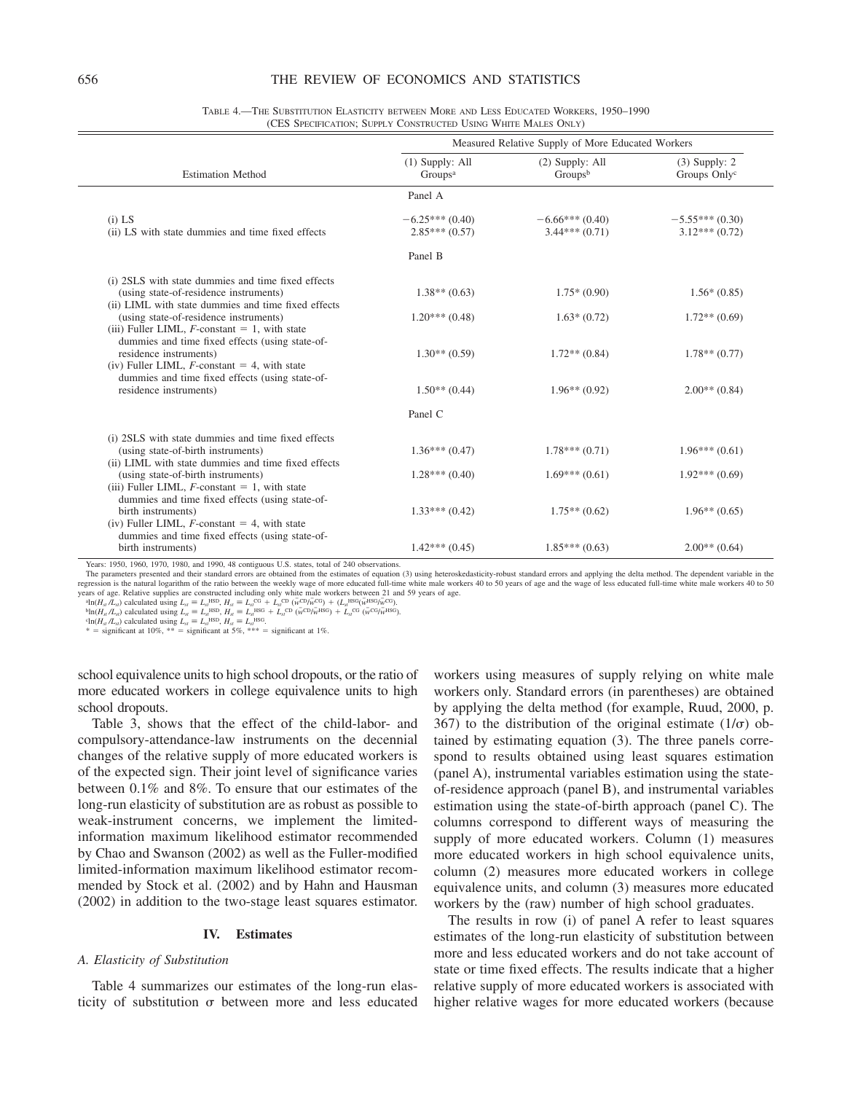# THE REVIEW OF ECONOMICS AND STATISTICS

|                                                                                                                                                     | Measured Relative Supply of More Educated Workers |                                          |                                             |  |  |
|-----------------------------------------------------------------------------------------------------------------------------------------------------|---------------------------------------------------|------------------------------------------|---------------------------------------------|--|--|
| <b>Estimation Method</b>                                                                                                                            | $(1)$ Supply: All<br>Groups <sup>a</sup>          | $(2)$ Supply: All<br>Groups <sup>b</sup> | $(3)$ Supply: 2<br>Groups Only <sup>c</sup> |  |  |
|                                                                                                                                                     | Panel A                                           |                                          |                                             |  |  |
| (i) LS<br>(ii) LS with state dummies and time fixed effects                                                                                         | $-6.25***(0.40)$<br>$2.85***(0.57)$               | $-6.66***(0.40)$<br>$3.44***(0.71)$      | $-5.55***(0.30)$<br>$3.12***(0.72)$         |  |  |
|                                                                                                                                                     | Panel B                                           |                                          |                                             |  |  |
| (i) 2SLS with state dummies and time fixed effects<br>(using state-of-residence instruments)<br>(ii) LIML with state dummies and time fixed effects | $1.38**$ (0.63)                                   | $1.75*(0.90)$                            | $1.56*(0.85)$                               |  |  |
| (using state-of-residence instruments)<br>(iii) Fuller LIML, $F$ -constant = 1, with state                                                          | $1.20***(0.48)$                                   | $1.63*(0.72)$                            | $1.72**$ (0.69)                             |  |  |
| dummies and time fixed effects (using state-of-<br>residence instruments)<br>(iv) Fuller LIML, $F$ -constant = 4, with state                        | $1.30**$ (0.59)                                   | $1.72**$ (0.84)                          | $1.78**$ (0.77)                             |  |  |
| dummies and time fixed effects (using state-of-<br>residence instruments)                                                                           | $1.50**$ (0.44)                                   | $1.96**$ (0.92)                          | $2.00**$ (0.84)                             |  |  |
|                                                                                                                                                     | Panel C                                           |                                          |                                             |  |  |
| (i) 2SLS with state dummies and time fixed effects<br>(using state-of-birth instruments)                                                            | $1.36***(0.47)$                                   | $1.78***(0.71)$                          | $1.96***(0.61)$                             |  |  |
| (ii) LIML with state dummies and time fixed effects<br>(using state-of-birth instruments)<br>(iii) Fuller LIML, $F$ -constant = 1, with state       | $1.28***(0.40)$                                   | $1.69***(0.61)$                          | $1.92***(0.69)$                             |  |  |
| dummies and time fixed effects (using state-of-<br>birth instruments)<br>(iv) Fuller LIML, $F$ -constant = 4, with state                            | $1.33***(0.42)$                                   | $1.75**$ (0.62)                          | $1.96**$ (0.65)                             |  |  |
| dummies and time fixed effects (using state-of-<br>birth instruments)<br>$-1$ $0.40$ $1$<br>1050 1060 1050 1000 11000 10 11<br>T T Q                | $1.42***(0.45)$                                   | $1.85***(0.63)$                          | $2.00**$ (0.64)                             |  |  |

TABLE 4.-THE SUBSTITUTION ELASTICITY BETWEEN MORE AND LESS EDUCATED WORKERS, 1950-1990 (CES SPECIFICATION; SUPPLY CONSTRUCTED USING WHITE MALES ONLY)

Years: 1950, 1960, 1970, 1980, and 1990, 48 contiguous U.S. states, total of 240 observations.

The parameters presented and their standard errors are obtained from the estimates of equation (3) using heteroskedasticity-robust standard errors and applying the delta method. The dependent variable in the regression is the natural logarithm of the ratio between the weekly wage of more educated full-time white male workers 40 to 50 years of age and the wage of less educated full-time white male workers 40 to 50 years of age. Relative supplies are constructed including only white male workers between 21 and 59 years of age.

 ${}^{\text{d}}\ln(H_{\text{rf}}\tilde{L}_{\text{av}})$  calculated using  $L_{\text{sr}} = L_{\text{rf}}^{\text{HSD}}$ ,  $H_{\text{sr}} = L_{\text{g}}^{\text{CG}} + L_{\text{g}}^{\text{CD}}$  ( $\tilde{W}^{\text{CO}}/\tilde{W}^{\text{CG}}$ ) +  $(L_{\text{r}}^{\text{HSG}}(\tilde{W}^{\text{EG}}/\tilde{W}^{\text{CG}}))$ <br>  ${}^{\text{b}}\ln(H_{\text{sr}}/L_{\text{sr}})$  calcula

 $\lim_{x \to a} f(x) = \lim_{x \to a} f(x) = \lim_{x \to a} f(x) = \lim_{x \to a} f(x) = \lim_{x \to a} f(x) = \lim_{x \to a} f(x) = \lim_{x \to a} f(x) = \lim_{x \to a} f(x) = \lim_{x \to a} f(x) = \lim_{x \to a} f(x) = \lim_{x \to a} f(x) = \lim_{x \to a} f(x) = \lim_{x \to a} f(x) = \lim_{x \to a} f(x) = \lim_{x \to a} f(x) = \lim_{x \to a} f(x) = \lim_{x \to a} f(x) = \lim_{x \to a} f(x) = \lim_{x$ 

school equivalence units to high school dropouts, or the ratio of more educated workers in college equivalence units to high school dropouts.

Table 3, shows that the effect of the child-labor- and compulsory-attendance-law instruments on the decennial changes of the relative supply of more educated workers is of the expected sign. Their joint level of significance varies between 0.1% and 8%. To ensure that our estimates of the long-run elasticity of substitution are as robust as possible to weak-instrument concerns, we implement the limitedinformation maximum likelihood estimator recommended by Chao and Swanson (2002) as well as the Fuller-modified limited-information maximum likelihood estimator recommended by Stock et al. (2002) and by Hahn and Hausman (2002) in addition to the two-stage least squares estimator.

#### IV. **Estimates**

### A. Elasticity of Substitution

Table 4 summarizes our estimates of the long-run elasticity of substitution  $\sigma$  between more and less educated workers using measures of supply relying on white male workers only. Standard errors (in parentheses) are obtained by applying the delta method (for example, Ruud, 2000, p. 367) to the distribution of the original estimate  $(1/\sigma)$  obtained by estimating equation (3). The three panels correspond to results obtained using least squares estimation (panel A), instrumental variables estimation using the stateof-residence approach (panel B), and instrumental variables estimation using the state-of-birth approach (panel C). The columns correspond to different ways of measuring the supply of more educated workers. Column (1) measures more educated workers in high school equivalence units, column (2) measures more educated workers in college equivalence units, and column (3) measures more educated workers by the (raw) number of high school graduates.

The results in row (i) of panel A refer to least squares estimates of the long-run elasticity of substitution between more and less educated workers and do not take account of state or time fixed effects. The results indicate that a higher relative supply of more educated workers is associated with higher relative wages for more educated workers (because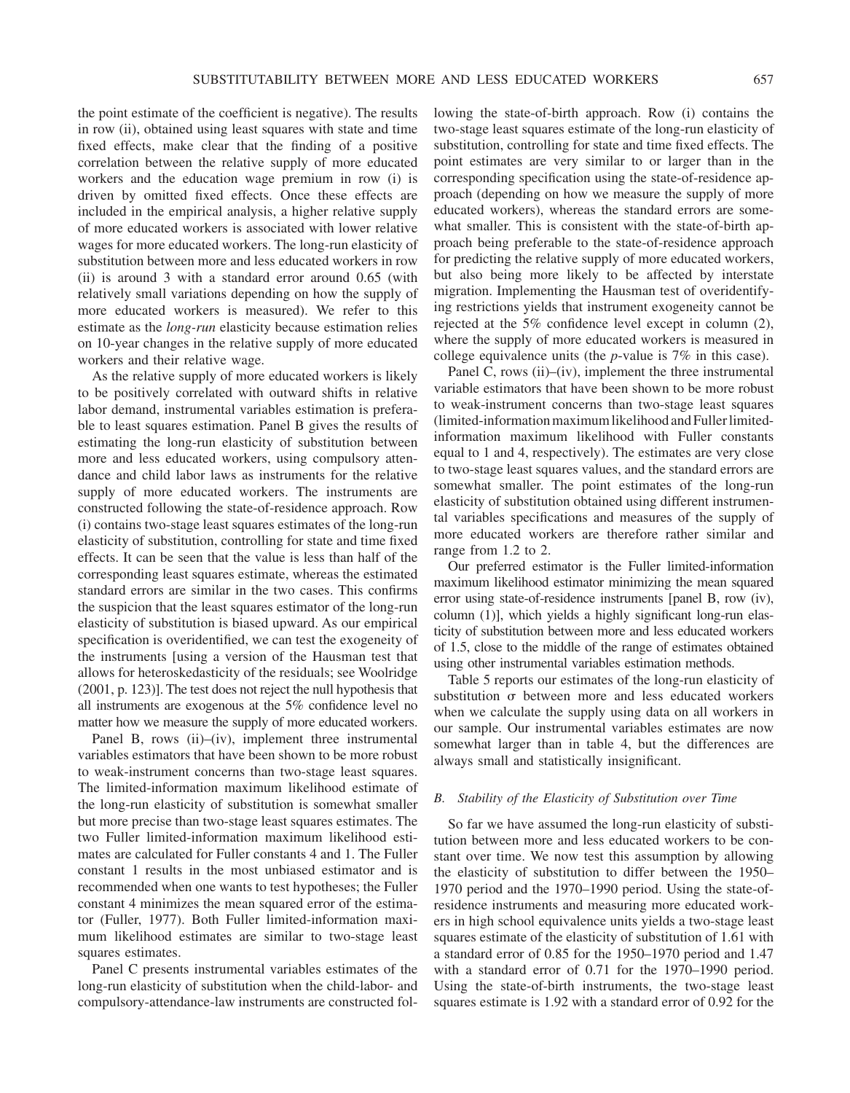the point estimate of the coefficient is negative). The results in row (ii), obtained using least squares with state and time fixed effects, make clear that the finding of a positive correlation between the relative supply of more educated workers and the education wage premium in row (i) is driven by omitted fixed effects. Once these effects are included in the empirical analysis, a higher relative supply of more educated workers is associated with lower relative wages for more educated workers. The long-run elasticity of substitution between more and less educated workers in row (ii) is around 3 with a standard error around 0.65 (with relatively small variations depending on how the supply of more educated workers is measured). We refer to this estimate as the *long-run* elasticity because estimation relies on 10-year changes in the relative supply of more educated workers and their relative wage.

As the relative supply of more educated workers is likely to be positively correlated with outward shifts in relative labor demand, instrumental variables estimation is preferable to least squares estimation. Panel B gives the results of estimating the long-run elasticity of substitution between more and less educated workers, using compulsory attendance and child labor laws as instruments for the relative supply of more educated workers. The instruments are constructed following the state-of-residence approach. Row (i) contains two-stage least squares estimates of the long-run elasticity of substitution, controlling for state and time fixed effects. It can be seen that the value is less than half of the corresponding least squares estimate, whereas the estimated standard errors are similar in the two cases. This confirms the suspicion that the least squares estimator of the long-run elasticity of substitution is biased upward. As our empirical specification is overidentified, we can test the exogeneity of the instruments [using a version of the Hausman test that allows for heteroskedasticity of the residuals; see Woolridge (2001, p. 123)]. The test does not reject the null hypothesis that all instruments are exogenous at the 5% confidence level no matter how we measure the supply of more educated workers.

Panel B, rows (ii)–(iv), implement three instrumental variables estimators that have been shown to be more robust to weak-instrument concerns than two-stage least squares. The limited-information maximum likelihood estimate of the long-run elasticity of substitution is somewhat smaller but more precise than two-stage least squares estimates. The two Fuller limited-information maximum likelihood estimates are calculated for Fuller constants 4 and 1. The Fuller constant 1 results in the most unbiased estimator and is recommended when one wants to test hypotheses; the Fuller constant 4 minimizes the mean squared error of the estimator (Fuller, 1977). Both Fuller limited-information maximum likelihood estimates are similar to two-stage least squares estimates.

Panel C presents instrumental variables estimates of the long-run elasticity of substitution when the child-labor- and compulsory-attendance-law instruments are constructed following the state-of-birth approach. Row (i) contains the two-stage least squares estimate of the long-run elasticity of substitution, controlling for state and time fixed effects. The point estimates are very similar to or larger than in the corresponding specification using the state-of-residence approach (depending on how we measure the supply of more educated workers), whereas the standard errors are somewhat smaller. This is consistent with the state-of-birth approach being preferable to the state-of-residence approach for predicting the relative supply of more educated workers, but also being more likely to be affected by interstate migration. Implementing the Hausman test of overidentifying restrictions yields that instrument exogeneity cannot be rejected at the 5% confidence level except in column (2), where the supply of more educated workers is measured in college equivalence units (the  $p$ -value is 7% in this case).

Panel C, rows (ii)–(iv), implement the three instrumental variable estimators that have been shown to be more robust to weak-instrument concerns than two-stage least squares (limited-information maximum likelihood and Fuller limitedinformation maximum likelihood with Fuller constants equal to 1 and 4, respectively). The estimates are very close to two-stage least squares values, and the standard errors are somewhat smaller. The point estimates of the long-run elasticity of substitution obtained using different instrumental variables specifications and measures of the supply of more educated workers are therefore rather similar and range from 1.2 to 2.

Our preferred estimator is the Fuller limited-information maximum likelihood estimator minimizing the mean squared error using state-of-residence instruments [panel B, row (iv), column (1)], which yields a highly significant long-run elasticity of substitution between more and less educated workers of 1.5, close to the middle of the range of estimates obtained using other instrumental variables estimation methods.

Table 5 reports our estimates of the long-run elasticity of substitution  $\sigma$  between more and less educated workers when we calculate the supply using data on all workers in our sample. Our instrumental variables estimates are now somewhat larger than in table 4, but the differences are always small and statistically insignificant.

#### В. Stability of the Elasticity of Substitution over Time

So far we have assumed the long-run elasticity of substitution between more and less educated workers to be constant over time. We now test this assumption by allowing the elasticity of substitution to differ between the 1950– 1970 period and the 1970–1990 period. Using the state-ofresidence instruments and measuring more educated workers in high school equivalence units yields a two-stage least squares estimate of the elasticity of substitution of 1.61 with a standard error of 0.85 for the 1950–1970 period and 1.47 with a standard error of 0.71 for the 1970–1990 period. Using the state-of-birth instruments, the two-stage least squares estimate is 1.92 with a standard error of 0.92 for the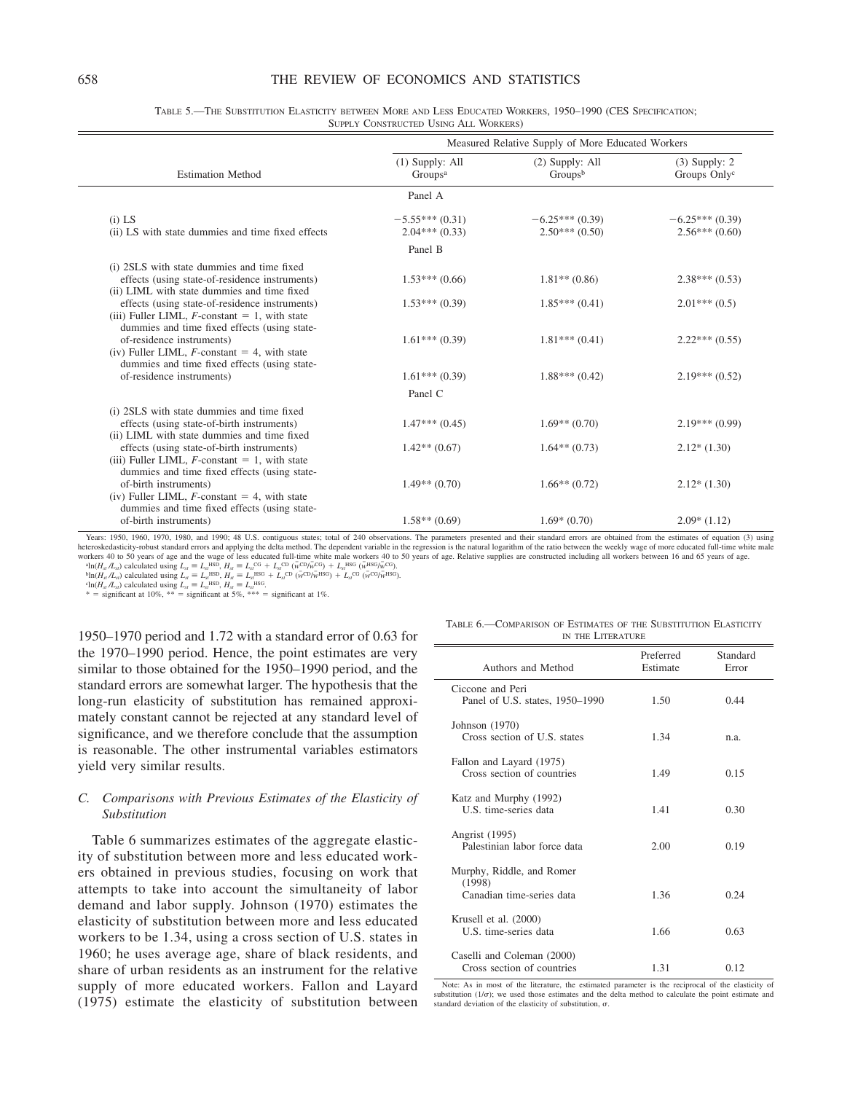# THE REVIEW OF ECONOMICS AND STATISTICS

|                                                                                                                                                    |                                        | Measured Relative Supply of More Educated Workers |                                             |
|----------------------------------------------------------------------------------------------------------------------------------------------------|----------------------------------------|---------------------------------------------------|---------------------------------------------|
| <b>Estimation Method</b>                                                                                                                           | (1) Supply: All<br>Groups <sup>a</sup> | (2) Supply: All<br>$Groups^b$                     | $(3)$ Supply: 2<br>Groups Only <sup>c</sup> |
|                                                                                                                                                    | Panel A                                |                                                   |                                             |
| (i) LS<br>(ii) LS with state dummies and time fixed effects                                                                                        | $-5.55***(0.31)$<br>$2.04***(0.33)$    | $-6.25***(0.39)$<br>$2.50***(0.50)$               | $-6.25***(0.39)$<br>$2.56***(0.60)$         |
|                                                                                                                                                    | Panel B                                |                                                   |                                             |
| (i) 2SLS with state dummies and time fixed                                                                                                         |                                        |                                                   |                                             |
| effects (using state-of-residence instruments)<br>(ii) LIML with state dummies and time fixed                                                      | $1.53***(0.66)$                        | $1.81**$ (0.86)                                   | $2.38***(0.53)$                             |
| effects (using state-of-residence instruments)<br>(iii) Fuller LIML, $F$ -constant = 1, with state<br>dummies and time fixed effects (using state- | $1.53***(0.39)$                        | $1.85***(0.41)$                                   | $2.01***(0.5)$                              |
| of-residence instruments)<br>(iv) Fuller LIML, $F$ -constant = 4, with state<br>dummies and time fixed effects (using state-                       | $1.61***(0.39)$                        | $1.81***(0.41)$                                   | $2.22***(0.55)$                             |
| of-residence instruments)                                                                                                                          | $1.61***(0.39)$                        | $1.88***(0.42)$                                   | $2.19***(0.52)$                             |
|                                                                                                                                                    | Panel C                                |                                                   |                                             |
| (i) 2SLS with state dummies and time fixed                                                                                                         |                                        |                                                   |                                             |
| effects (using state-of-birth instruments)<br>(ii) LIML with state dummies and time fixed                                                          | $1.47***(0.45)$                        | $1.69**$ (0.70)                                   | $2.19***(0.99)$                             |
| effects (using state-of-birth instruments)<br>(iii) Fuller LIML, $F$ -constant = 1, with state<br>dummies and time fixed effects (using state-     | $1.42**$ (0.67)                        | $1.64**$ (0.73)                                   | $2.12*(1.30)$                               |
| of-birth instruments)<br>(iv) Fuller LIML, $F$ -constant = 4, with state<br>dummies and time fixed effects (using state-                           | $1.49**$ (0.70)                        | $1.66**$ (0.72)                                   | $2.12*(1.30)$                               |
| of-birth instruments)                                                                                                                              | $1.58**$ (0.69)                        | $1.69*(0.70)$                                     | $2.09*(1.12)$                               |

| TABLE 5.—THE SUBSTITUTION ELASTICITY BETWEEN MORE AND LESS EDUCATED WORKERS, 1950–1990 (CES SPECIFICATION: |  |                                       |  |  |
|------------------------------------------------------------------------------------------------------------|--|---------------------------------------|--|--|
|                                                                                                            |  | SUPPLY CONSTRUCTED USING ALL WORKERS) |  |  |

Years: 1950, 1960, 1970, 1980, and 1990; 48 U.S. contiguous states; total of 240 observations. The parameters presented and their standard errors are obtained from the estimates of equation (3) using heteroskedasticity-robust standard errors and applying the delta method. The dependent variable in the regression is the natural logarithm of the ratio between the weekly wage of more educated full-time white male neterosacional cross standard cross and physical method. The repetition is the final method of the rate of the section of the section of the section of the section of the section of the section of the section of the secti

\* = significant at 10%, \*\* = significant at 5%, \*\*\* = significant at 1%.

1950–1970 period and 1.72 with a standard error of 0.63 for the 1970–1990 period. Hence, the point estimates are very similar to those obtained for the 1950–1990 period, and the standard errors are somewhat larger. The hypothesis that the long-run elasticity of substitution has remained approximately constant cannot be rejected at any standard level of significance, and we therefore conclude that the assumption is reasonable. The other instrumental variables estimators yield very similar results.

#### $C_{\cdot}$ Comparisons with Previous Estimates of the Elasticity of Substitution

Table 6 summarizes estimates of the aggregate elasticity of substitution between more and less educated workers obtained in previous studies, focusing on work that attempts to take into account the simultaneity of labor demand and labor supply. Johnson (1970) estimates the elasticity of substitution between more and less educated workers to be 1.34, using a cross section of U.S. states in 1960; he uses average age, share of black residents, and share of urban residents as an instrument for the relative supply of more educated workers. Fallon and Layard (1975) estimate the elasticity of substitution between

| TABLE 6.—COMPARISON OF ESTIMATES OF THE SUBSTITUTION ELASTICITY |                   |  |  |
|-----------------------------------------------------------------|-------------------|--|--|
|                                                                 | IN THE LITERATURE |  |  |

| Authors and Method                                       | Preferred<br>Estimate | Standard<br>Error |
|----------------------------------------------------------|-----------------------|-------------------|
| Ciccone and Peri<br>Panel of U.S. states, 1950–1990      | 1.50                  | 0.44              |
| Johnson (1970)<br>Cross section of U.S. states           | 1.34                  | n.a.              |
| Fallon and Layard (1975)<br>Cross section of countries   | 1.49                  | 0.15              |
| Katz and Murphy (1992)<br>U.S. time-series data          | 1.41                  | 0.30              |
| Angrist (1995)<br>Palestinian labor force data           | 2.00                  | 0.19              |
| Murphy, Riddle, and Romer<br>(1998)                      |                       |                   |
| Canadian time-series data                                | 1.36                  | 0.24              |
| Krusell et al. (2000)<br>U.S. time-series data           | 1.66                  | 0.63              |
| Caselli and Coleman (2000)<br>Cross section of countries | 1.31                  | 0.12              |

Note: As in most of the literature, the estimated parameter is the reciprocal of the elasticity of substitution  $(1/\sigma)$ : we used those estimates and the delta method to calculate the point estimate and standard deviation of the elasticity of substitution,  $\sigma$ .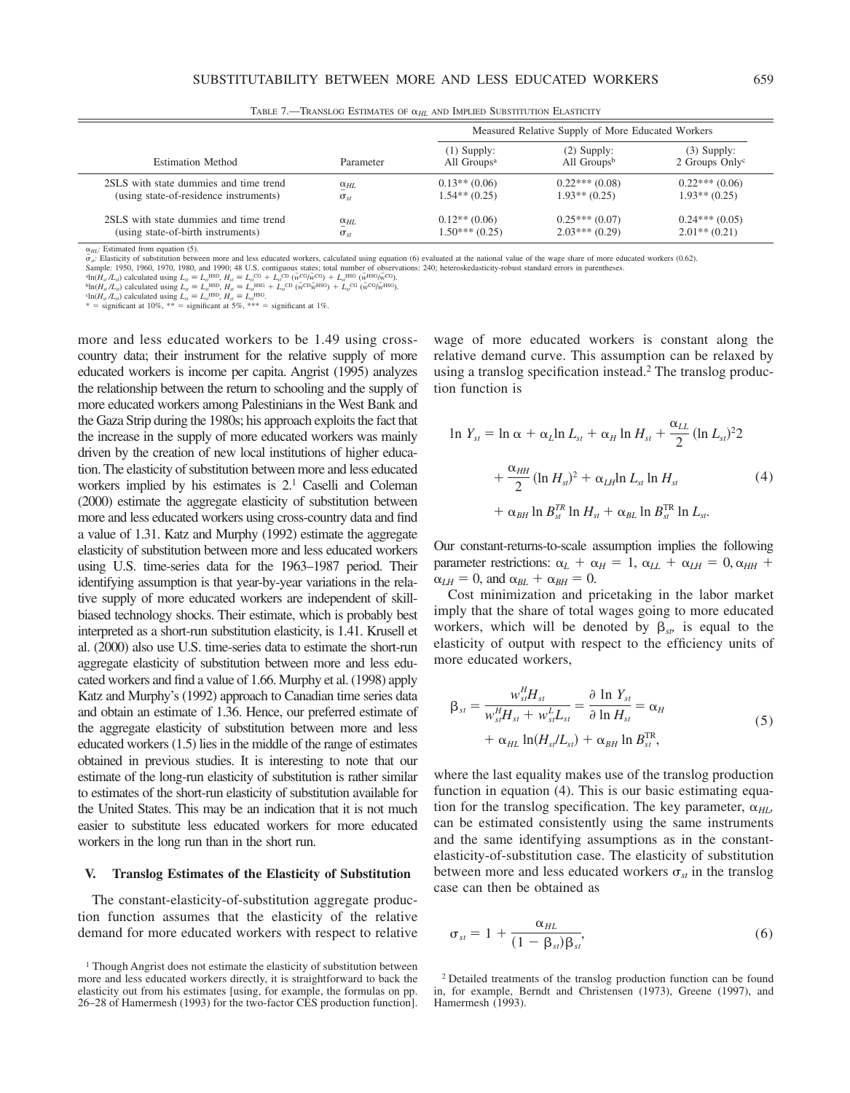TABLE 7.—TRANSLOG ESTIMATES OF  $\alpha_{HL}$  AND IMPLIED SUBSTITUTION ELASTICITY

|                                        |               |                                          | Measured Relative Supply of More Educated Workers |                                   |
|----------------------------------------|---------------|------------------------------------------|---------------------------------------------------|-----------------------------------|
| <b>Estimation Method</b>               | Parameter     | $(1)$ Supply:<br>All Groups <sup>a</sup> | $(2)$ Supply:<br>All Groups <sup>b</sup>          | $(3)$ Supply:<br>2 Groups $Onlyc$ |
| 2SLS with state dummies and time trend | $\alpha_{HL}$ | $0.13**$ (0.06)                          | $0.22***(0.08)$                                   | $0.22***(0.06)$                   |
| (using state-of-residence instruments) | $\sigma_{st}$ | $1.54**(0.25)$                           | $1.93**$ (0.25)                                   | $1.93**$ (0.25)                   |
| 2SLS with state dummies and time trend | $\alpha_{HL}$ | $0.12**$ (0.06)                          | $0.25***(0.07)$                                   | $0.24***(0.05)$                   |
| (using state-of-birth instruments)     | $\sigma_{st}$ | $1.50***(0.25)$                          | $2.03***(0.29)$                                   | $2.01**$ (0.21)                   |

 $\alpha_{HL}$ : Estimated from equation (5).

 $\bar{\sigma}_{st}$ . Elasticity of substitution between more and less educated workers, calculated using equation (6) evaluated at the national value of the wage share of more educated workers (0.62).

Sample: 1950, 1960, 1970, 1980, and 1990; 48 U.S. contiguous states; total number of observations: 240; heteroskedasticity-robust standard errors in parentheses.

 $\mu_H(H_H/L_u)$  calculated using  $L_{st} = L_u^{\text{HSD}}$ ,  $H_{st} = L_u^{\text{CG}} + L_u^{\text{CO}}$  ( $\bar{w}^{\text{CG}}/\bar{w}^{\text{CG}}$ ) +  $L_u^{\text{HSC}}$  ( $\bar{w}^{\text{HSC}}/\bar{w}^{\text{CG}}$ ) and number or observed  $\ln(H_H/L_u)$  calculated using  $L_{st} = L_u^{\text{HSD}}$ ,  $H_{st} = L_u^{\text{HS$ 

\* = significant at 10%, \*\* = significant at 5%, \*\*\* = significant at 1%.

more and less educated workers to be 1.49 using crosscountry data; their instrument for the relative supply of more educated workers is income per capita. Angrist (1995) analyzes the relationship between the return to schooling and the supply of more educated workers among Palestinians in the West Bank and the Gaza Strip during the 1980s; his approach exploits the fact that the increase in the supply of more educated workers was mainly driven by the creation of new local institutions of higher education. The elasticity of substitution between more and less educated workers implied by his estimates is 2.<sup>1</sup> Caselli and Coleman (2000) estimate the aggregate elasticity of substitution between more and less educated workers using cross-country data and find a value of 1.31. Katz and Murphy (1992) estimate the aggregate elasticity of substitution between more and less educated workers using U.S. time-series data for the 1963–1987 period. Their identifying assumption is that year-by-year variations in the relative supply of more educated workers are independent of skillbiased technology shocks. Their estimate, which is probably best interpreted as a short-run substitution elasticity, is 1.41. Krusell et al. (2000) also use U.S. time-series data to estimate the short-run aggregate elasticity of substitution between more and less educated workers and find a value of 1.66. Murphy et al. (1998) apply Katz and Murphy's (1992) approach to Canadian time series data and obtain an estimate of 1.36. Hence, our preferred estimate of the aggregate elasticity of substitution between more and less educated workers (1.5) lies in the middle of the range of estimates obtained in previous studies. It is interesting to note that our estimate of the long-run elasticity of substitution is rather similar to estimates of the short-run elasticity of substitution available for the United States. This may be an indication that it is not much easier to substitute less educated workers for more educated workers in the long run than in the short run.

#### V. **Translog Estimates of the Elasticity of Substitution**

The constant-elasticity-of-substitution aggregate production function assumes that the elasticity of the relative demand for more educated workers with respect to relative wage of more educated workers is constant along the relative demand curve. This assumption can be relaxed by using a translog specification instead.<sup>2</sup> The translog production function is

$$
\ln Y_{st} = \ln \alpha + \alpha_L \ln L_{st} + \alpha_H \ln H_{st} + \frac{\alpha_{LL}}{2} (\ln L_{st})^2
$$

$$
+ \frac{\alpha_{HH}}{2} (\ln H_{st})^2 + \alpha_{LH} \ln L_{st} \ln H_{st} \qquad (4)
$$

$$
+ \alpha_{BH} \ln B_{st}^{TR} \ln H_{st} + \alpha_{BL} \ln B_{st}^{TR} \ln L_{st}.
$$

Our constant-returns-to-scale assumption implies the following parameter restrictions:  $\alpha_L + \alpha_H = 1$ ,  $\alpha_{LL} + \alpha_{LH} = 0$ ,  $\alpha_{HH}$  +  $\alpha_{IH} = 0$ , and  $\alpha_{BL} + \alpha_{BH} = 0$ .

Cost minimization and pricetaking in the labor market imply that the share of total wages going to more educated workers, which will be denoted by  $\beta_{sb}$  is equal to the elasticity of output with respect to the efficiency units of more educated workers.

$$
\beta_{st} = \frac{w_{st}^H H_{st}}{w_{st}^H H_{st} + w_{st}^L L_{st}} = \frac{\partial \ln Y_{st}}{\partial \ln H_{st}} = \alpha_H
$$
\n
$$
+ \alpha_{HL} \ln(H_{st}/L_{st}) + \alpha_{BH} \ln B_{st}^{TR},
$$
\n(5)

where the last equality makes use of the translog production function in equation (4). This is our basic estimating equation for the translog specification. The key parameter,  $\alpha_{HL}$ , can be estimated consistently using the same instruments and the same identifying assumptions as in the constantelasticity-of-substitution case. The elasticity of substitution between more and less educated workers  $\sigma_{st}$  in the translog case can then be obtained as

$$
\sigma_{st} = 1 + \frac{\alpha_{HL}}{(1 - \beta_{st})\beta_{st}},\tag{6}
$$

<sup>&</sup>lt;sup>1</sup> Though Angrist does not estimate the elasticity of substitution between more and less educated workers directly, it is straightforward to back the elasticity out from his estimates [using, for example, the formulas on pp. 26–28 of Hamermesh (1993) for the two-factor CES production function].

<sup>&</sup>lt;sup>2</sup> Detailed treatments of the translog production function can be found in, for example, Berndt and Christensen (1973), Greene (1997), and Hamermesh (1993).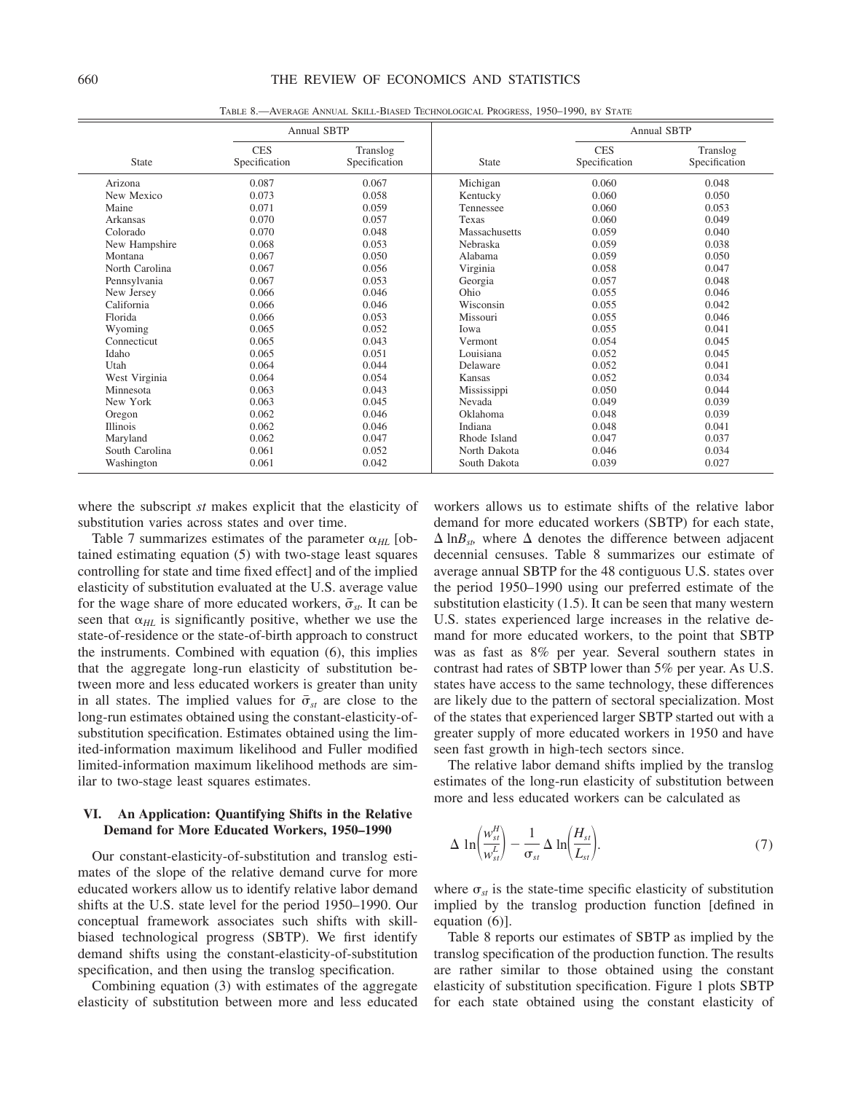|                 | Annual SBTP                 |                           |               |                             | Annual SBTP               |
|-----------------|-----------------------------|---------------------------|---------------|-----------------------------|---------------------------|
| <b>State</b>    | <b>CES</b><br>Specification | Translog<br>Specification | <b>State</b>  | <b>CES</b><br>Specification | Translog<br>Specification |
| Arizona         | 0.087                       | 0.067                     | Michigan      | 0.060                       | 0.048                     |
| New Mexico      | 0.073                       | 0.058                     | Kentucky      | 0.060                       | 0.050                     |
| Maine           | 0.071                       | 0.059                     | Tennessee     | 0.060                       | 0.053                     |
| Arkansas        | 0.070                       | 0.057                     | Texas         | 0.060                       | 0.049                     |
| Colorado        | 0.070                       | 0.048                     | Massachusetts | 0.059                       | 0.040                     |
| New Hampshire   | 0.068                       | 0.053                     | Nebraska      | 0.059                       | 0.038                     |
| Montana         | 0.067                       | 0.050                     | Alabama       | 0.059                       | 0.050                     |
| North Carolina  | 0.067                       | 0.056                     | Virginia      | 0.058                       | 0.047                     |
| Pennsylvania    | 0.067                       | 0.053                     | Georgia       | 0.057                       | 0.048                     |
| New Jersey      | 0.066                       | 0.046                     | Ohio          | 0.055                       | 0.046                     |
| California      | 0.066                       | 0.046                     | Wisconsin     | 0.055                       | 0.042                     |
| Florida         | 0.066                       | 0.053                     | Missouri      | 0.055                       | 0.046                     |
| Wyoming         | 0.065                       | 0.052                     | Iowa          | 0.055                       | 0.041                     |
| Connecticut     | 0.065                       | 0.043                     | Vermont       | 0.054                       | 0.045                     |
| Idaho           | 0.065                       | 0.051                     | Louisiana     | 0.052                       | 0.045                     |
| Utah            | 0.064                       | 0.044                     | Delaware      | 0.052                       | 0.041                     |
| West Virginia   | 0.064                       | 0.054                     | Kansas        | 0.052                       | 0.034                     |
| Minnesota       | 0.063                       | 0.043                     | Mississippi   | 0.050                       | 0.044                     |
| New York        | 0.063                       | 0.045                     | Nevada        | 0.049                       | 0.039                     |
| Oregon          | 0.062                       | 0.046                     | Oklahoma      | 0.048                       | 0.039                     |
| <b>Illinois</b> | 0.062                       | 0.046                     | Indiana       | 0.048                       | 0.041                     |
| Maryland        | 0.062                       | 0.047                     | Rhode Island  | 0.047                       | 0.037                     |
| South Carolina  | 0.061                       | 0.052                     | North Dakota  | 0.046                       | 0.034                     |
| Washington      | 0.061                       | 0.042                     | South Dakota  | 0.039                       | 0.027                     |

TABLE 8.- AVERAGE ANNUAL SKILL-BIASED TECHNOLOGICAL PROGRESS, 1950-1990, BY STATE

where the subscript st makes explicit that the elasticity of substitution varies across states and over time.

Table 7 summarizes estimates of the parameter  $\alpha_{HL}$  [obtained estimating equation (5) with two-stage least squares controlling for state and time fixed effect] and of the implied elasticity of substitution evaluated at the U.S. average value for the wage share of more educated workers,  $\bar{\sigma}_{st}$ . It can be seen that  $\alpha_{HL}$  is significantly positive, whether we use the state-of-residence or the state-of-birth approach to construct the instruments. Combined with equation (6), this implies that the aggregate long-run elasticity of substitution between more and less educated workers is greater than unity in all states. The implied values for  $\bar{\sigma}_{st}$  are close to the long-run estimates obtained using the constant-elasticity-ofsubstitution specification. Estimates obtained using the limited-information maximum likelihood and Fuller modified limited-information maximum likelihood methods are similar to two-stage least squares estimates.

#### An Application: Quantifying Shifts in the Relative VI. Demand for More Educated Workers, 1950-1990

Our constant-elasticity-of-substitution and translog estimates of the slope of the relative demand curve for more educated workers allow us to identify relative labor demand shifts at the U.S. state level for the period 1950–1990. Our conceptual framework associates such shifts with skillbiased technological progress (SBTP). We first identify demand shifts using the constant-elasticity-of-substitution specification, and then using the translog specification.

Combining equation (3) with estimates of the aggregate elasticity of substitution between more and less educated workers allows us to estimate shifts of the relative labor demand for more educated workers (SBTP) for each state,  $\Delta$  ln $B_{sb}$  where  $\Delta$  denotes the difference between adjacent decennial censuses. Table 8 summarizes our estimate of average annual SBTP for the 48 contiguous U.S. states over the period 1950–1990 using our preferred estimate of the substitution elasticity  $(1.5)$ . It can be seen that many western U.S. states experienced large increases in the relative demand for more educated workers, to the point that SBTP was as fast as 8% per year. Several southern states in contrast had rates of SBTP lower than 5% per year. As U.S. states have access to the same technology, these differences are likely due to the pattern of sectoral specialization. Most of the states that experienced larger SBTP started out with a greater supply of more educated workers in 1950 and have seen fast growth in high-tech sectors since.

The relative labor demand shifts implied by the translog estimates of the long-run elasticity of substitution between more and less educated workers can be calculated as

$$
\Delta \ln \left( \frac{w_{st}^H}{w_{st}^L} \right) - \frac{1}{\sigma_{st}} \Delta \ln \left( \frac{H_{st}}{L_{st}} \right). \tag{7}
$$

where  $\sigma_{st}$  is the state-time specific elasticity of substitution implied by the translog production function [defined in equation  $(6)$ ].

Table 8 reports our estimates of SBTP as implied by the translog specification of the production function. The results are rather similar to those obtained using the constant elasticity of substitution specification. Figure 1 plots SBTP for each state obtained using the constant elasticity of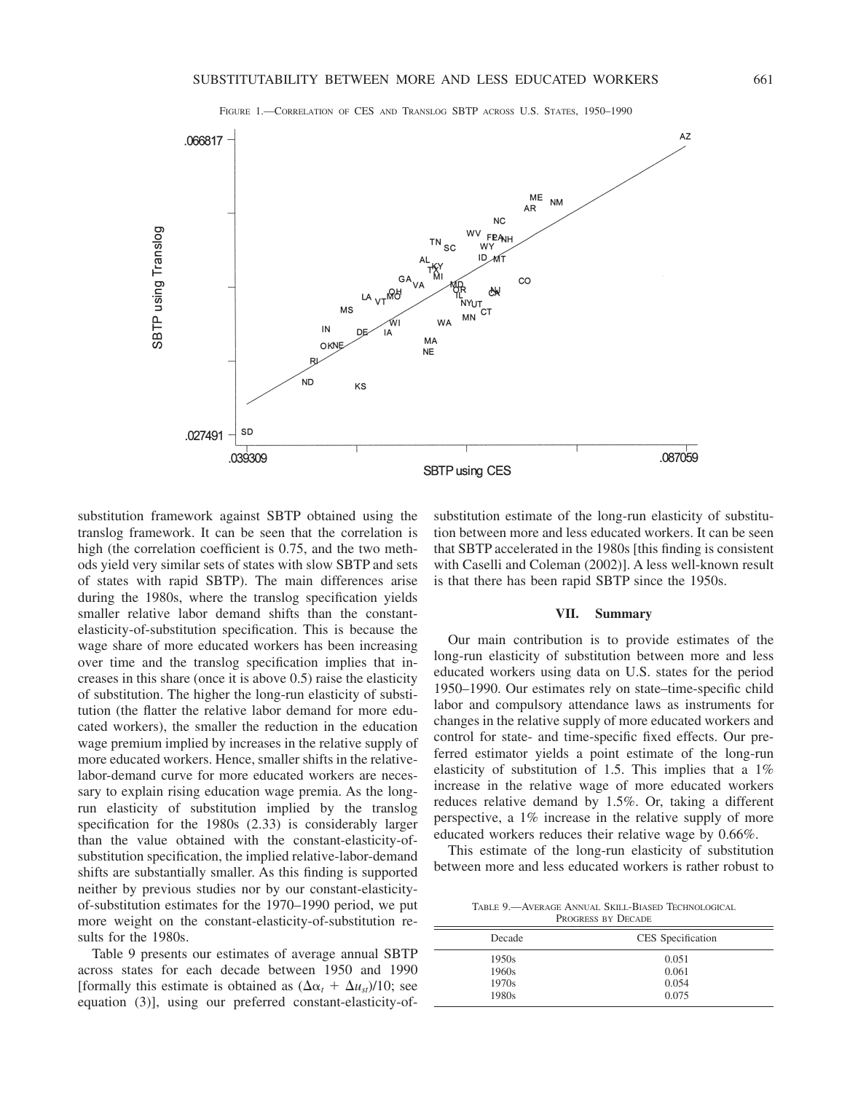



substitution framework against SBTP obtained using the translog framework. It can be seen that the correlation is high (the correlation coefficient is 0.75, and the two methods yield very similar sets of states with slow SBTP and sets of states with rapid SBTP). The main differences arise during the 1980s, where the translog specification yields smaller relative labor demand shifts than the constantelasticity-of-substitution specification. This is because the wage share of more educated workers has been increasing over time and the translog specification implies that increases in this share (once it is above 0.5) raise the elasticity of substitution. The higher the long-run elasticity of substitution (the flatter the relative labor demand for more educated workers), the smaller the reduction in the education wage premium implied by increases in the relative supply of more educated workers. Hence, smaller shifts in the relativelabor-demand curve for more educated workers are necessary to explain rising education wage premia. As the longrun elasticity of substitution implied by the translog specification for the 1980s (2.33) is considerably larger than the value obtained with the constant-elasticity-ofsubstitution specification, the implied relative-labor-demand shifts are substantially smaller. As this finding is supported neither by previous studies nor by our constant-elasticityof-substitution estimates for the 1970–1990 period, we put more weight on the constant-elasticity-of-substitution results for the 1980s.

Table 9 presents our estimates of average annual SBTP across states for each decade between 1950 and 1990 [formally this estimate is obtained as  $(\Delta \alpha_t + \Delta u_{st})/10$ ; see equation (3)], using our preferred constant-elasticity-ofsubstitution estimate of the long-run elasticity of substitution between more and less educated workers. It can be seen that SBTP accelerated in the 1980s [this finding is consistent with Caselli and Coleman (2002)]. A less well-known result is that there has been rapid SBTP since the 1950s.

#### VII. **Summary**

Our main contribution is to provide estimates of the long-run elasticity of substitution between more and less educated workers using data on U.S. states for the period 1950-1990. Our estimates rely on state-time-specific child labor and compulsory attendance laws as instruments for changes in the relative supply of more educated workers and control for state- and time-specific fixed effects. Our preferred estimator yields a point estimate of the long-run elasticity of substitution of 1.5. This implies that a 1% increase in the relative wage of more educated workers reduces relative demand by 1.5%. Or, taking a different perspective, a 1% increase in the relative supply of more educated workers reduces their relative wage by 0.66%.

This estimate of the long-run elasticity of substitution between more and less educated workers is rather robust to

TABLE 9.-AVERAGE ANNUAL SKILL-BIASED TECHNOLOGICAL PROGRESS BY DECADE

| Decade | CES Specification |
|--------|-------------------|
| 1950s  | 0.051             |
| 1960s  | 0.061             |
| 1970s  | 0.054             |
| 1980s  | 0.075             |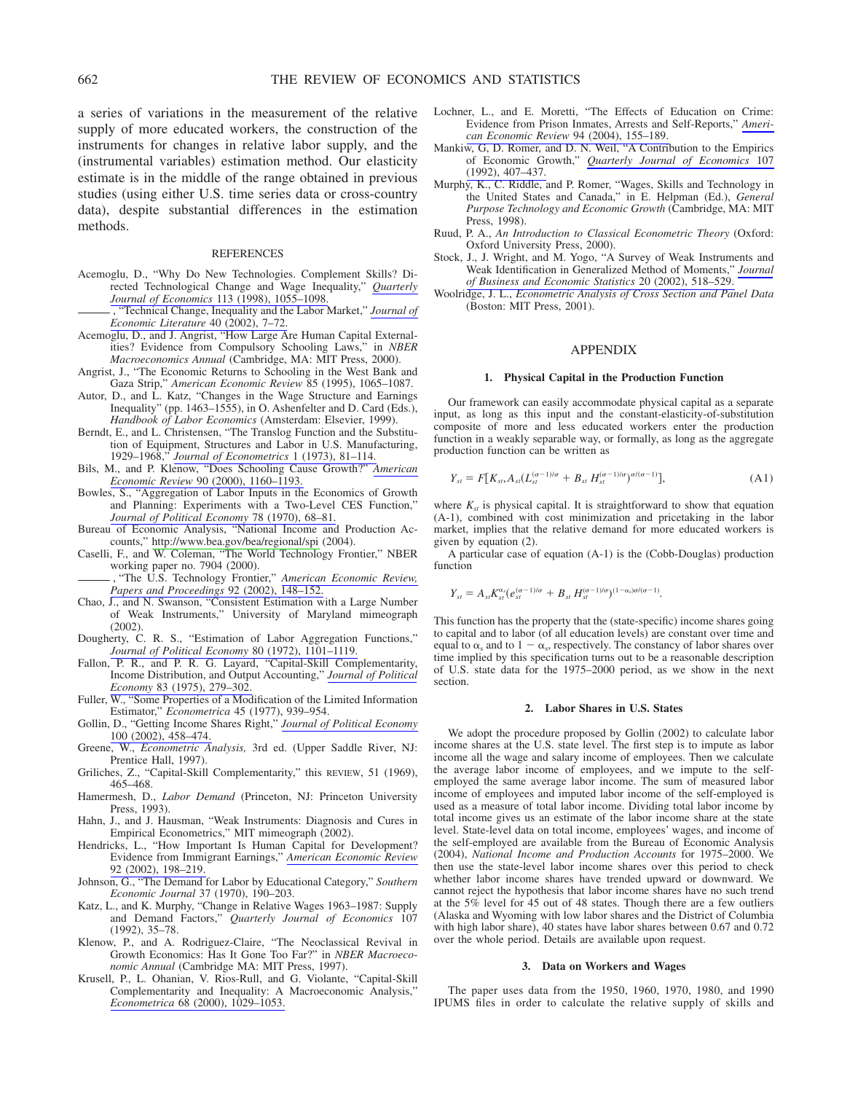a series of variations in the measurement of the relative supply of more educated workers, the construction of the instruments for changes in relative labor supply, and the (instrumental variables) estimation method. Our elasticity estimate is in the middle of the range obtained in previous studies (using either U.S. time series data or cross-country data), despite substantial differences in the estimation methods.

### **REFERENCES**

- Acemoglu, D., "Why Do New Technologies. Complement Skills? Directed Technological Change and Wage Inequality," Quarterly Journal of Economics 113 (1998), 1055-1098.
	- , "Technical Change, Inequality and the Labor Market," Journal of Economic Literature 40 (2002), 7-72.
- Acemoglu, D., and J. Angrist, "How Large Are Human Capital Externalities? Evidence from Compulsory Schooling Laws," in *NBER* Macroeconomics Annual (Cambridge, MA: MIT Press, 2000).
- Angrist, J., "The Economic Returns to Schooling in the West Bank and Gaza Strip," American Economic Review 85 (1995), 1065-1087.
- Autor, D., and L. Katz, "Changes in the Wage Structure and Earnings Inequality" (pp. 1463–1555), in O. Ashenfelter and D. Card (Eds.), Handbook of Labor Economics (Amsterdam: Elsevier, 1999).
- Berndt, E., and L. Christensen, "The Translog Function and the Substitution of Equipment, Structures and Labor in U.S. Manufacturing, 1929–1968," Journal of Econometrics 1 (1973), 81–114.
- Bils, M., and P. Klenow, "Does Schooling Cause Growth?" American Economic Review 90 (2000), 1160-1193.
- Bowles, S., "Aggregation of Labor Inputs in the Economics of Growth and Planning: Experiments with a Two-Level CES Function," Journal of Political Economy 78 (1970), 68-81.
- Bureau of Economic Analysis, "National Income and Production Ac-
- counts," http://www.bea.gov/bea/regional/spi (2004).<br>Caselli, F., and W. Coleman, "The World Technology Frontier," NBER<br>working paper no. 7904 (2000).
- ., "The U.S. Technology Frontier," American Economic Review, Papers and Proceedings 92 (2002), 148-152.
- Chao, J., and N. Swanson, "Consistent Estimation with a Large Number of Weak Instruments," University of Maryland mimeograph  $(2002).$
- Dougherty, C. R. S., "Estimation of Labor Aggregation Functions," Journal of Political Economy 80 (1972), 1101-1119.
- Fallon, P. R., and P. R. G. Layard, "Capital-Skill Complementarity, Income Distribution, and Output Accounting," Journal of Political Economy 83 (1975), 279-302.
- Fuller, W., "Some Properties of a Modification of the Limited Information Estimator," *Econometrica* 45 (1977), 939-954.
- Gollin, D., "Getting Income Shares Right," Journal of Political Economy 100 (2002), 458-474.
- Greene, W., *Econometric Analysis*, 3rd ed. (Upper Saddle River, NJ: Prentice Hall, 1997).
- Griliches, Z., "Capital-Skill Complementarity," this REVIEW, 51 (1969), 465-468.
- Hamermesh, D., Labor Demand (Princeton, NJ: Princeton University Press, 1993).
- Hahn, J., and J. Hausman, "Weak Instruments: Diagnosis and Cures in Empirical Econometrics," MIT mimeograph (2002).
- Hendricks, L., "How Important Is Human Capital for Development?<br>Evidence from Immigrant Earnings," American Economic Review 92 (2002), 198-219.
- Johnson, G., "The Demand for Labor by Educational Category," Southern Economic Journal 37 (1970), 190-203.
- Katz, L., and K. Murphy, "Change in Relative Wages 1963-1987: Supply and Demand Factors," Quarterly Journal of Economics 107  $(1992), 35-78.$
- Klenow, P., and A. Rodriguez-Claire, "The Neoclassical Revival in Growth Economics: Has It Gone Too Far?" in NBER Macroeconomic Annual (Cambridge MA: MIT Press, 1997).
- Krusell, P., L. Ohanian, V. Rios-Rull, and G. Violante, "Capital-Skill Complementarity and Inequality: A Macroeconomic Analysis," Econometrica 68 (2000), 1029-1053.
- Lochner, L., and E. Moretti, "The Effects of Education on Crime: Evidence from Prison Inmates, Arrests and Self-Reports," American Economic Review 94 (2004), 155-189.
- Mankiw, G, D. Romer, and D. N. Weil, "A Contribution to the Empirics of Economic Growth," Quarterly Journal of Economics 107  $(1992), 407 - 437.$
- Murphy, K., C. Riddle, and P. Romer, "Wages, Skills and Technology in the United States and Canada," in E. Helpman (Ed.), *General* Purpose Technology and Economic Growth (Cambridge, MA: MIT Press, 1998).
- Ruud, P. A., An Introduction to Classical Econometric Theory (Oxford: Oxford University Press, 2000).
- Stock, J., J. Wright, and M. Yogo, "A Survey of Weak Instruments and Weak Identification in Generalized Method of Moments," Journal of Business and Economic Statistics 20 (2002), 518-529.
- Woolridge, J. L., Econometric Analysis of Cross Section and Panel Data (Boston: MIT Press, 2001).

## **APPENDIX**

### 1. Physical Capital in the Production Function

Our framework can easily accommodate physical capital as a separate input, as long as this input and the constant-elasticity-of-substitution composite of more and less educated workers enter the production function in a weakly separable way, or formally, as long as the aggregate production function can be written as

$$
Y_{st} = F[K_{st}, A_{st}(L_{st}^{(\sigma-1)/\sigma} + B_{st} H_{st}^{(\sigma-1)/\sigma})^{\sigma/(\sigma-1)}],
$$
\n(A1)

where  $K_{st}$  is physical capital. It is straightforward to show that equation (A-1), combined with cost minimization and pricetaking in the labor market, implies that the relative demand for more educated workers is given by equation (2).

A particular case of equation (A-1) is the (Cobb-Douglas) production function

$$
Y_{st} = A_{st} K_{st}^{\alpha_s} (e_{st}^{(\sigma-1)/\sigma} + B_{st} H_{st}^{(\sigma-1)/\sigma})^{(1-\alpha_s)\sigma/(\sigma-1)}.
$$

This function has the property that the (state-specific) income shares going to capital and to labor (of all education levels) are constant over time and equal to  $\alpha_s$  and to  $1 - \alpha_s$ , respectively. The constancy of labor shares over time implied by this specification turns out to be a reasonable description of U.S. state data for the 1975–2000 period, as we show in the next section.

### 2. Labor Shares in U.S. States

We adopt the procedure proposed by Gollin (2002) to calculate labor income shares at the U.S. state level. The first step is to impute as labor income all the wage and salary income of employees. Then we calculate the average labor income of employees, and we impute to the selfemployed the same average labor income. The sum of measured labor income of employees and imputed labor income of the self-employed is used as a measure of total labor income. Dividing total labor income by total income gives us an estimate of the labor income share at the state level. State-level data on total income, employees' wages, and income of the self-employed are available from the Bureau of Economic Analysis (2004), National Income and Production Accounts for 1975-2000. We then use the state-level labor income shares over this period to check whether labor income shares have trended upward or downward. We cannot reject the hypothesis that labor income shares have no such trend at the 5% level for 45 out of 48 states. Though there are a few outliers (Alaska and Wyoming with low labor shares and the District of Columbia with high labor share), 40 states have labor shares between 0.67 and 0.72 over the whole period. Details are available upon request.

### 3. Data on Workers and Wages

The paper uses data from the 1950, 1960, 1970, 1980, and 1990 IPUMS files in order to calculate the relative supply of skills and